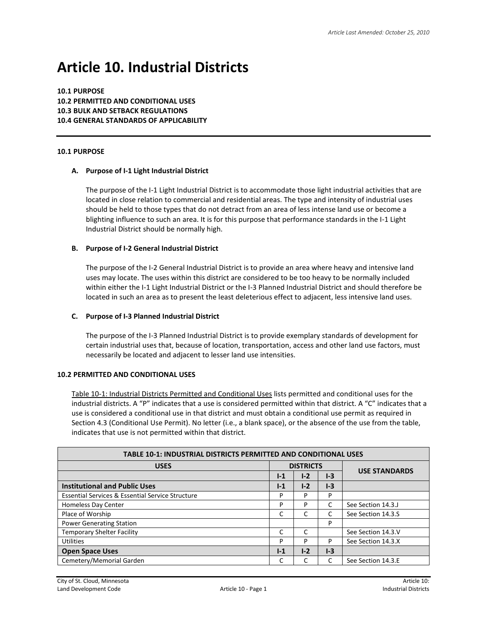# **Article 10. Industrial Districts**

**10.1 PURPOSE 10.2 PERMITTED AND CONDITIONAL USES 10.3 BULK AND SETBACK REGULATIONS 10.4 GENERAL STANDARDS OF APPLICABILITY**

#### **10.1 PURPOSE**

#### **A. Purpose of I-1 Light Industrial District**

The purpose of the I-1 Light Industrial District is to accommodate those light industrial activities that are located in close relation to commercial and residential areas. The type and intensity of industrial uses should be held to those types that do not detract from an area of less intense land use or become a blighting influence to such an area. It is for this purpose that performance standards in the I-1 Light Industrial District should be normally high.

## **B. Purpose of I-2 General Industrial District**

The purpose of the I-2 General Industrial District is to provide an area where heavy and intensive land uses may locate. The uses within this district are considered to be too heavy to be normally included within either the I-1 Light Industrial District or the I-3 Planned Industrial District and should therefore be located in such an area as to present the least deleterious effect to adjacent, less intensive land uses.

#### **C. Purpose of I-3 Planned Industrial District**

The purpose of the I-3 Planned Industrial District is to provide exemplary standards of development for certain industrial uses that, because of location, transportation, access and other land use factors, must necessarily be located and adjacent to lesser land use intensities.

#### **10.2 PERMITTED AND CONDITIONAL USES**

Table 10-1: Industrial Districts Permitted and Conditional Uses lists permitted and conditional uses for the industrial districts. A "P" indicates that a use is considered permitted within that district. A "C" indicates that a use is considered a conditional use in that district and must obtain a conditional use permit as required in Section 4.3 (Conditional Use Permit). No letter (i.e., a blank space), or the absence of the use from the table, indicates that use is not permitted within that district.

| <b>TABLE 10-1: INDUSTRIAL DISTRICTS PERMITTED AND CONDITIONAL USES</b> |                  |       |       |                      |  |
|------------------------------------------------------------------------|------------------|-------|-------|----------------------|--|
| <b>USES</b>                                                            | <b>DISTRICTS</b> |       |       |                      |  |
|                                                                        | $1-1$            | $1-2$ | $1-3$ | <b>USE STANDARDS</b> |  |
| <b>Institutional and Public Uses</b>                                   | $1-1$            | $1-2$ | $1-3$ |                      |  |
| <b>Essential Services &amp; Essential Service Structure</b>            | P                | P     | P     |                      |  |
| <b>Homeless Day Center</b>                                             | P                | P     |       | See Section 14.3.J   |  |
| Place of Worship                                                       | C                |       |       | See Section 14.3.S   |  |
| <b>Power Generating Station</b>                                        |                  |       | P     |                      |  |
| <b>Temporary Shelter Facility</b>                                      | C                |       |       | See Section 14.3.V   |  |
| <b>Utilities</b>                                                       | P                | P     | P     | See Section 14.3.X   |  |
| <b>Open Space Uses</b>                                                 | $1-1$            | $I-2$ | $1-3$ |                      |  |
| Cemetery/Memorial Garden                                               |                  |       |       | See Section 14.3.E   |  |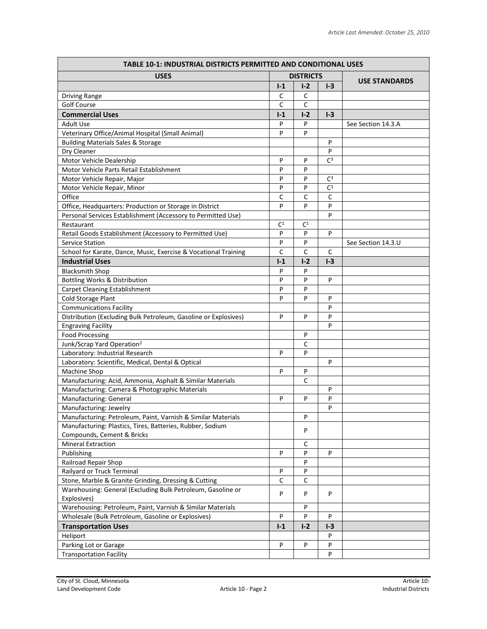| <b>TABLE 10-1: INDUSTRIAL DISTRICTS PERMITTED AND CONDITIONAL USES</b> |                  |                |                |                      |
|------------------------------------------------------------------------|------------------|----------------|----------------|----------------------|
| <b>USES</b>                                                            | <b>DISTRICTS</b> |                |                |                      |
|                                                                        | $I-1$            | $I-2$          | $I-3$          | <b>USE STANDARDS</b> |
| <b>Driving Range</b>                                                   | C                | С              |                |                      |
| <b>Golf Course</b>                                                     | $\mathsf{C}$     | $\mathsf{C}$   |                |                      |
| <b>Commercial Uses</b>                                                 | $I-1$            | $I-2$          | $I-3$          |                      |
| <b>Adult Use</b>                                                       | P                | P              |                | See Section 14.3.A   |
| Veterinary Office/Animal Hospital (Small Animal)                       | P                | P              |                |                      |
| <b>Building Materials Sales &amp; Storage</b>                          |                  |                | P              |                      |
| Dry Cleaner                                                            |                  |                | P              |                      |
| Motor Vehicle Dealership                                               | P                | P              | C <sup>3</sup> |                      |
| Motor Vehicle Parts Retail Establishment                               | P                | P              |                |                      |
| Motor Vehicle Repair, Major                                            | P                | P              | $C^3$          |                      |
| Motor Vehicle Repair, Minor                                            | P                | P              | $C^3$          |                      |
| Office                                                                 | C                | С              | C              |                      |
| Office, Headquarters: Production or Storage in District                | P                | P              | P              |                      |
| Personal Services Establishment (Accessory to Permitted Use)           |                  |                | P              |                      |
| Restaurant                                                             | C <sup>1</sup>   | C <sup>1</sup> |                |                      |
| Retail Goods Establishment (Accessory to Permitted Use)                | P                | P              | P              |                      |
| <b>Service Station</b>                                                 | P                | P              |                | See Section 14.3.U   |
| School for Karate, Dance, Music, Exercise & Vocational Training        | $\mathsf C$      | C              | C              |                      |
| <b>Industrial Uses</b>                                                 | $I-1$            | $I - 2$        | $I - 3$        |                      |
| <b>Blacksmith Shop</b>                                                 | P                | P              |                |                      |
| Bottling Works & Distribution                                          | P                | P              | P              |                      |
| Carpet Cleaning Establishment                                          | P                | P              |                |                      |
| <b>Cold Storage Plant</b>                                              | P                | P              | P              |                      |
| <b>Communications Facility</b>                                         |                  |                | P              |                      |
| Distribution (Excluding Bulk Petroleum, Gasoline or Explosives)        | P                | P              | P              |                      |
| <b>Engraving Facility</b>                                              |                  |                | P              |                      |
| <b>Food Processing</b>                                                 |                  | P              |                |                      |
| Junk/Scrap Yard Operation <sup>2</sup>                                 |                  | C              |                |                      |
| Laboratory: Industrial Research                                        | P                | P              |                |                      |
| Laboratory: Scientific, Medical, Dental & Optical                      |                  |                | P              |                      |
| Machine Shop                                                           | P                | P              |                |                      |
| Manufacturing: Acid, Ammonia, Asphalt & Similar Materials              |                  | C              |                |                      |
| Manufacturing: Camera & Photographic Materials                         |                  |                | P              |                      |
| Manufacturing: General                                                 | P                | P              | P              |                      |
| Manufacturing: Jewelry                                                 |                  |                | P              |                      |
| Manufacturing: Petroleum, Paint, Varnish & Similar Materials           |                  | P              |                |                      |
| Manufacturing: Plastics, Tires, Batteries, Rubber, Sodium              |                  |                |                |                      |
| Compounds, Cement & Bricks                                             |                  | P              |                |                      |
| <b>Mineral Extraction</b>                                              |                  | С              |                |                      |
| Publishing                                                             | P                | P              | P              |                      |
| Railroad Repair Shop                                                   |                  | P              |                |                      |
| Railyard or Truck Terminal                                             | P                | P              |                |                      |
| Stone, Marble & Granite Grinding, Dressing & Cutting                   | $\mathsf{C}$     | C              |                |                      |
| Warehousing: General (Excluding Bulk Petroleum, Gasoline or            | P                | P              | P              |                      |
| Explosives)                                                            |                  |                |                |                      |
| Warehousing: Petroleum, Paint, Varnish & Similar Materials             |                  | P              |                |                      |
| Wholesale (Bulk Petroleum, Gasoline or Explosives)                     | P                | P              | P              |                      |
| <b>Transportation Uses</b>                                             | $I-1$            | $I-2$          | $I-3$          |                      |
| Heliport                                                               |                  |                | P              |                      |
| Parking Lot or Garage                                                  | P                | P              | P              |                      |
| <b>Transportation Facility</b>                                         |                  |                | P              |                      |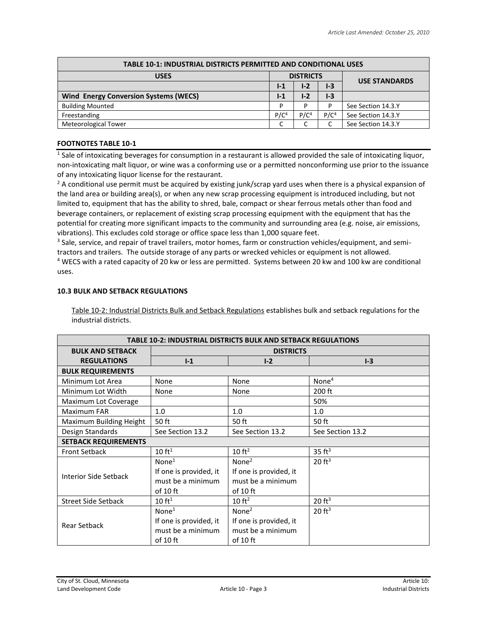| <b>TABLE 10-1: INDUSTRIAL DISTRICTS PERMITTED AND CONDITIONAL USES</b> |                  |                  |                  |                      |  |
|------------------------------------------------------------------------|------------------|------------------|------------------|----------------------|--|
| <b>USES</b>                                                            | <b>DISTRICTS</b> |                  |                  | <b>USE STANDARDS</b> |  |
|                                                                        | $1-1$            | $1-2$            | $1-3$            |                      |  |
| <b>Wind Energy Conversion Systems (WECS)</b>                           | $1-1$            | $I-2$            | $1-3$            |                      |  |
| <b>Building Mounted</b>                                                |                  | D                | P                | See Section 14.3.Y   |  |
| Freestanding                                                           | P/C <sup>4</sup> | P/C <sup>4</sup> | P/C <sup>4</sup> | See Section 14.3.Y   |  |
| <b>Meteorological Tower</b>                                            |                  |                  |                  | See Section 14.3.Y   |  |

# **FOOTNOTES TABLE 10-1**

 $1$  Sale of intoxicating beverages for consumption in a restaurant is allowed provided the sale of intoxicating liquor, non-intoxicating malt liquor, or wine was a conforming use or a permitted nonconforming use prior to the issuance of any intoxicating liquor license for the restaurant.

 $2$  A conditional use permit must be acquired by existing junk/scrap yard uses when there is a physical expansion of the land area or building area(s), or when any new scrap processing equipment is introduced including, but not limited to, equipment that has the ability to shred, bale, compact or shear ferrous metals other than food and beverage containers, or replacement of existing scrap processing equipment with the equipment that has the potential for creating more significant impacts to the community and surrounding area (e.g. noise, air emissions, vibrations). This excludes cold storage or office space less than 1,000 square feet.

<sup>3</sup> Sale, service, and repair of travel trailers, motor homes, farm or construction vehicles/equipment, and semitractors and trailers. The outside storage of any parts or wrecked vehicles or equipment is not allowed. <sup>4</sup> WECS with a rated capacity of 20 kw or less are permitted. Systems between 20 kw and 100 kw are conditional uses.

## **10.3 BULK AND SETBACK REGULATIONS**

Table 10-2: Industrial Districts Bulk and Setback Regulations establishes bulk and setback regulations for the industrial districts.

| <b>TABLE 10-2: INDUSTRIAL DISTRICTS BULK AND SETBACK REGULATIONS</b> |                                                                                |                                                                              |                    |  |
|----------------------------------------------------------------------|--------------------------------------------------------------------------------|------------------------------------------------------------------------------|--------------------|--|
| <b>BULK AND SETBACK</b>                                              | <b>DISTRICTS</b>                                                               |                                                                              |                    |  |
| <b>REGULATIONS</b>                                                   | $1-1$                                                                          | $I-2$                                                                        | $I-3$              |  |
| <b>BULK REQUIREMENTS</b>                                             |                                                                                |                                                                              |                    |  |
| Minimum Lot Area                                                     | <b>None</b>                                                                    | None                                                                         | None <sup>4</sup>  |  |
| Minimum Lot Width                                                    | None                                                                           | None                                                                         | 200 ft             |  |
| Maximum Lot Coverage                                                 |                                                                                |                                                                              | 50%                |  |
| <b>Maximum FAR</b>                                                   | 1.0                                                                            | 1.0                                                                          | 1.0                |  |
| Maximum Building Height                                              | 50 ft                                                                          | 50 ft                                                                        | 50 ft              |  |
| Design Standards                                                     | See Section 13.2                                                               | See Section 13.2                                                             | See Section 13.2   |  |
| <b>SETBACK REQUIREMENTS</b>                                          |                                                                                |                                                                              |                    |  |
| <b>Front Setback</b>                                                 | 10 ft <sup>1</sup>                                                             | 10 ft <sup>2</sup>                                                           | 35 ft <sup>3</sup> |  |
| <b>Interior Side Setback</b>                                         | None <sup>1</sup><br>If one is provided, it<br>must be a minimum<br>of 10 $ft$ | None <sup>2</sup><br>If one is provided, it<br>must be a minimum<br>of 10 ft | $20 \text{ ft}^3$  |  |
| <b>Street Side Setback</b>                                           | 10 ft <sup>1</sup>                                                             | 10 ft <sup>2</sup>                                                           | $20 \text{ ft}^3$  |  |
| <b>Rear Setback</b>                                                  | None <sup>1</sup><br>If one is provided, it<br>must be a minimum<br>of 10 ft   | None $2$<br>If one is provided, it<br>must be a minimum<br>of 10 $ft$        | $20 \text{ ft}^3$  |  |